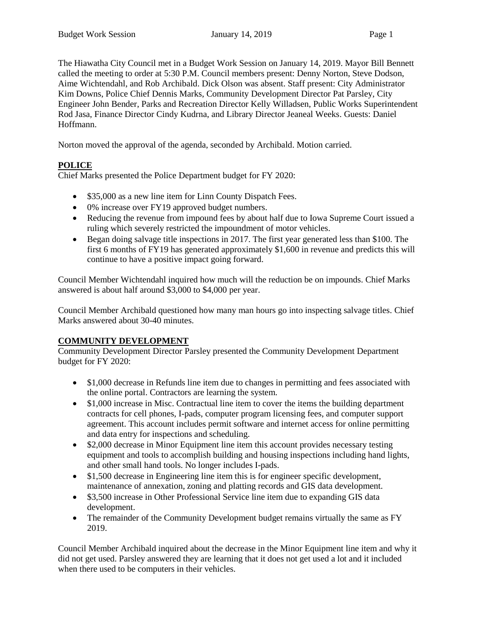The Hiawatha City Council met in a Budget Work Session on January 14, 2019. Mayor Bill Bennett called the meeting to order at 5:30 P.M. Council members present: Denny Norton, Steve Dodson, Aime Wichtendahl, and Rob Archibald. Dick Olson was absent. Staff present: City Administrator Kim Downs, Police Chief Dennis Marks, Community Development Director Pat Parsley, City Engineer John Bender, Parks and Recreation Director Kelly Willadsen, Public Works Superintendent Rod Jasa, Finance Director Cindy Kudrna, and Library Director Jeaneal Weeks. Guests: Daniel Hoffmann.

Norton moved the approval of the agenda, seconded by Archibald. Motion carried.

# **POLICE**

Chief Marks presented the Police Department budget for FY 2020:

- \$35,000 as a new line item for Linn County Dispatch Fees.
- 0% increase over FY19 approved budget numbers.
- Reducing the revenue from impound fees by about half due to Iowa Supreme Court issued a ruling which severely restricted the impoundment of motor vehicles.
- Began doing salvage title inspections in 2017. The first year generated less than \$100. The first 6 months of FY19 has generated approximately \$1,600 in revenue and predicts this will continue to have a positive impact going forward.

Council Member Wichtendahl inquired how much will the reduction be on impounds. Chief Marks answered is about half around \$3,000 to \$4,000 per year.

Council Member Archibald questioned how many man hours go into inspecting salvage titles. Chief Marks answered about 30-40 minutes.

# **COMMUNITY DEVELOPMENT**

Community Development Director Parsley presented the Community Development Department budget for FY 2020:

- \$1,000 decrease in Refunds line item due to changes in permitting and fees associated with the online portal. Contractors are learning the system.
- \$1,000 increase in Misc. Contractual line item to cover the items the building department contracts for cell phones, I-pads, computer program licensing fees, and computer support agreement. This account includes permit software and internet access for online permitting and data entry for inspections and scheduling.
- \$2,000 decrease in Minor Equipment line item this account provides necessary testing equipment and tools to accomplish building and housing inspections including hand lights, and other small hand tools. No longer includes I-pads.
- \$1,500 decrease in Engineering line item this is for engineer specific development, maintenance of annexation, zoning and platting records and GIS data development.
- \$3,500 increase in Other Professional Service line item due to expanding GIS data development.
- The remainder of the Community Development budget remains virtually the same as FY 2019.

Council Member Archibald inquired about the decrease in the Minor Equipment line item and why it did not get used. Parsley answered they are learning that it does not get used a lot and it included when there used to be computers in their vehicles.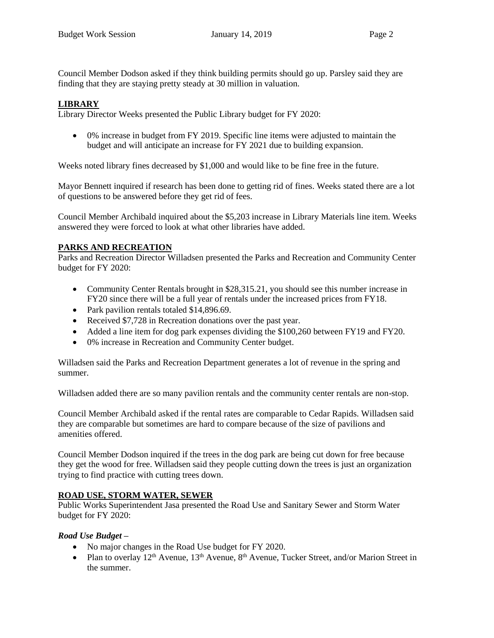Council Member Dodson asked if they think building permits should go up. Parsley said they are finding that they are staying pretty steady at 30 million in valuation.

#### **LIBRARY**

Library Director Weeks presented the Public Library budget for FY 2020:

• 0% increase in budget from FY 2019. Specific line items were adjusted to maintain the budget and will anticipate an increase for FY 2021 due to building expansion.

Weeks noted library fines decreased by \$1,000 and would like to be fine free in the future.

Mayor Bennett inquired if research has been done to getting rid of fines. Weeks stated there are a lot of questions to be answered before they get rid of fees.

Council Member Archibald inquired about the \$5,203 increase in Library Materials line item. Weeks answered they were forced to look at what other libraries have added.

## **PARKS AND RECREATION**

Parks and Recreation Director Willadsen presented the Parks and Recreation and Community Center budget for FY 2020:

- Community Center Rentals brought in \$28,315.21, you should see this number increase in FY20 since there will be a full year of rentals under the increased prices from FY18.
- Park pavilion rentals totaled \$14,896.69.
- Received \$7,728 in Recreation donations over the past year.
- Added a line item for dog park expenses dividing the \$100,260 between FY19 and FY20.
- 0% increase in Recreation and Community Center budget.

Willadsen said the Parks and Recreation Department generates a lot of revenue in the spring and summer.

Willadsen added there are so many pavilion rentals and the community center rentals are non-stop.

Council Member Archibald asked if the rental rates are comparable to Cedar Rapids. Willadsen said they are comparable but sometimes are hard to compare because of the size of pavilions and amenities offered.

Council Member Dodson inquired if the trees in the dog park are being cut down for free because they get the wood for free. Willadsen said they people cutting down the trees is just an organization trying to find practice with cutting trees down.

## **ROAD USE, STORM WATER, SEWER**

Public Works Superintendent Jasa presented the Road Use and Sanitary Sewer and Storm Water budget for FY 2020:

#### *Road Use Budget –*

- No major changes in the Road Use budget for FY 2020.
- Plan to overlay  $12<sup>th</sup>$  Avenue,  $13<sup>th</sup>$  Avenue,  $8<sup>th</sup>$  Avenue, Tucker Street, and/or Marion Street in the summer.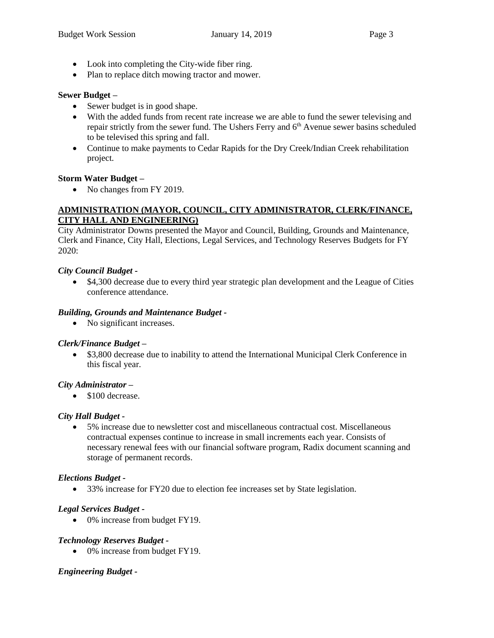- Look into completing the City-wide fiber ring.
- Plan to replace ditch mowing tractor and mower.

## **Sewer Budget –**

- Sewer budget is in good shape.
- With the added funds from recent rate increase we are able to fund the sewer televising and repair strictly from the sewer fund. The Ushers Ferry and 6<sup>th</sup> Avenue sewer basins scheduled to be televised this spring and fall.
- Continue to make payments to Cedar Rapids for the Dry Creek/Indian Creek rehabilitation project.

## **Storm Water Budget –**

• No changes from FY 2019.

## **ADMINISTRATION (MAYOR, COUNCIL, CITY ADMINISTRATOR, CLERK/FINANCE, CITY HALL AND ENGINEERING)**

City Administrator Downs presented the Mayor and Council, Building, Grounds and Maintenance, Clerk and Finance, City Hall, Elections, Legal Services, and Technology Reserves Budgets for FY 2020:

## *City Council Budget -*

• \$4,300 decrease due to every third year strategic plan development and the League of Cities conference attendance.

## *Building, Grounds and Maintenance Budget -*

• No significant increases.

# *Clerk/Finance Budget –*

• \$3,800 decrease due to inability to attend the International Municipal Clerk Conference in this fiscal year.

## *City Administrator –*

• \$100 decrease.

# *City Hall Budget -*

• 5% increase due to newsletter cost and miscellaneous contractual cost. Miscellaneous contractual expenses continue to increase in small increments each year. Consists of necessary renewal fees with our financial software program, Radix document scanning and storage of permanent records.

## *Elections Budget -*

• 33% increase for FY20 due to election fee increases set by State legislation.

# *Legal Services Budget -*

• 0% increase from budget FY19.

# *Technology Reserves Budget -*

• 0% increase from budget FY19.

## *Engineering Budget -*